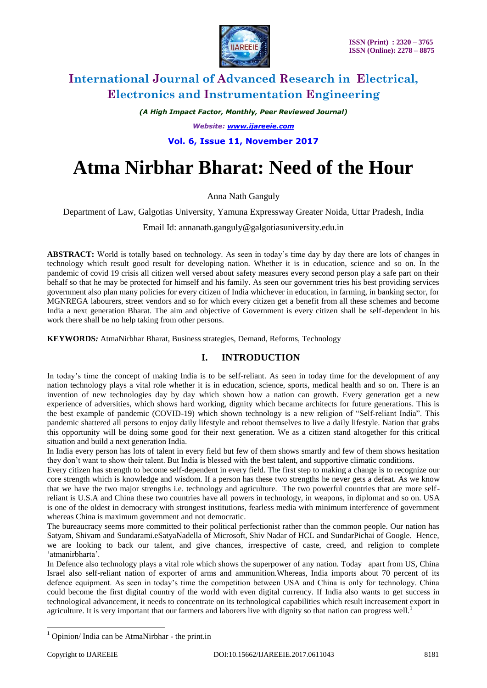

*(A High Impact Factor, Monthly, Peer Reviewed Journal)*

*Website: [www.ijareeie.com](http://www.ijareeie.com/)*

**Vol. 6, Issue 11, November 2017**

# **Atma Nirbhar Bharat: Need of the Hour**

Anna Nath Ganguly

Department of Law, Galgotias University, Yamuna Expressway Greater Noida, Uttar Pradesh, India

Email Id: annanath.ganguly@galgotiasuniversity.edu.in

**ABSTRACT:** World is totally based on technology. As seen in today's time day by day there are lots of changes in technology which result good result for developing nation. Whether it is in education, science and so on. In the pandemic of covid 19 crisis all citizen well versed about safety measures every second person play a safe part on their behalf so that he may be protected for himself and his family. As seen our government tries his best providing services government also plan many policies for every citizen of India whichever in education, in farming, in banking sector, for MGNREGA labourers, street vendors and so for which every citizen get a benefit from all these schemes and become India a next generation Bharat. The aim and objective of Government is every citizen shall be self-dependent in his work there shall be no help taking from other persons.

**KEYWORDS***:* AtmaNirbhar Bharat, Business strategies, Demand, Reforms, Technology

### **I. INTRODUCTION**

In today's time the concept of making India is to be self-reliant. As seen in today time for the development of any nation technology plays a vital role whether it is in education, science, sports, medical health and so on. There is an invention of new technologies day by day which shown how a nation can growth. Every generation get a new experience of adversities, which shows hard working, dignity which became architects for future generations. This is the best example of pandemic (COVID-19) which shown technology is a new religion of "Self-reliant India". This pandemic shattered all persons to enjoy daily lifestyle and reboot themselves to live a daily lifestyle. Nation that grabs this opportunity will be doing some good for their next generation. We as a citizen stand altogether for this critical situation and build a next generation India.

In India every person has lots of talent in every field but few of them shows smartly and few of them shows hesitation they don't want to show their talent. But India is blessed with the best talent, and supportive climatic conditions.

Every citizen has strength to become self-dependent in every field. The first step to making a change is to recognize our core strength which is knowledge and wisdom. If a person has these two strengths he never gets a defeat. As we know that we have the two major strengths i.e. technology and agriculture. The two powerful countries that are more selfreliant is U.S.A and China these two countries have all powers in technology, in weapons, in diplomat and so on. USA is one of the oldest in democracy with strongest institutions, fearless media with minimum interference of government whereas China is maximum government and not democratic.

The bureaucracy seems more committed to their political perfectionist rather than the common people. Our nation has Satyam, Shivam and Sundarami.eSatyaNadella of Microsoft, Shiv Nadar of HCL and SundarPichai of Google. Hence, we are looking to back our talent, and give chances, irrespective of caste, creed, and religion to complete 'atmanirbharta'.

In Defence also technology plays a vital role which shows the superpower of any nation. Today apart from US, China Israel also self-reliant nation of exporter of arms and ammunition.Whereas, India imports about 70 percent of its defence equipment. As seen in today's time the competition between USA and China is only for technology. China could become the first digital country of the world with even digital currency. If India also wants to get success in technological advancement, it needs to concentrate on its technological capabilities which result increasement export in agriculture. It is very important that our farmers and laborers live with dignity so that nation can progress well.<sup>1</sup>

 $\overline{a}$ 

 $<sup>1</sup>$  Opinion/ India can be AtmaNirbhar - the print.in</sup>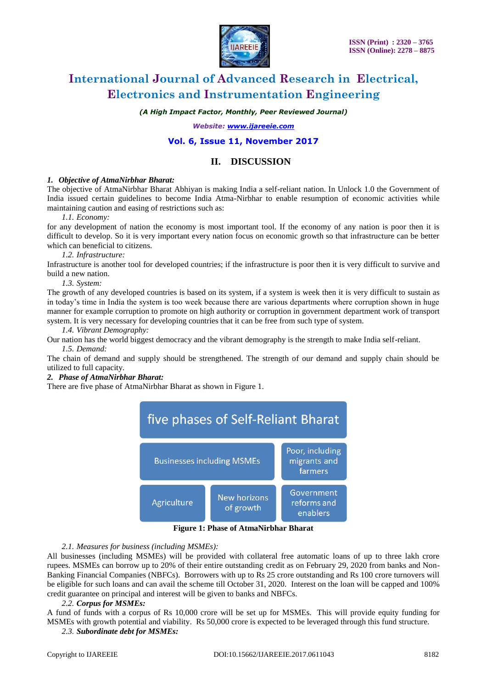

*(A High Impact Factor, Monthly, Peer Reviewed Journal)*

*Website: [www.ijareeie.com](http://www.ijareeie.com/)*

### **Vol. 6, Issue 11, November 2017**

### **II. DISCUSSION**

### *1. Objective of AtmaNirbhar Bharat:*

The objective of AtmaNirbhar Bharat Abhiyan is making India a self-reliant nation. In Unlock 1.0 the Government of India issued certain guidelines to become India Atma-Nirbhar to enable resumption of economic activities while maintaining caution and easing of restrictions such as:

*1.1. Economy:* 

for any development of nation the economy is most important tool. If the economy of any nation is poor then it is difficult to develop. So it is very important every nation focus on economic growth so that infrastructure can be better which can beneficial to citizens.

*1.2. Infrastructure:* 

Infrastructure is another tool for developed countries; if the infrastructure is poor then it is very difficult to survive and build a new nation.

*1.3. System:* 

The growth of any developed countries is based on its system, if a system is week then it is very difficult to sustain as in today's time in India the system is too week because there are various departments where corruption shown in huge manner for example corruption to promote on high authority or corruption in government department work of transport system. It is very necessary for developing countries that it can be free from such type of system.

### *1.4. Vibrant Demography:*

Our nation has the world biggest democracy and the vibrant demography is the strength to make India self-reliant.

### *1.5. Demand:*

The chain of demand and supply should be strengthened. The strength of our demand and supply chain should be utilized to full capacity.

### *2. Phase of AtmaNirbhar Bharat:*

There are five phase of AtmaNirbhar Bharat as shown in Figure 1.



**Figure 1: Phase of AtmaNirbhar Bharat**

### *2.1. Measures for business (including MSMEs):*

All businesses (including MSMEs) will be provided with collateral free automatic loans of up to three lakh crore rupees. MSMEs can borrow up to 20% of their entire outstanding credit as on February 29, 2020 from banks and Non-Banking Financial Companies (NBFCs). Borrowers with up to Rs 25 crore outstanding and Rs 100 crore turnovers will be eligible for such loans and can avail the scheme till October 31, 2020. Interest on the loan will be capped and 100% credit guarantee on principal and interest will be given to banks and NBFCs.

### *2.2. Corpus for MSMEs:*

A fund of funds with a corpus of Rs 10,000 crore will be set up for MSMEs. This will provide equity funding for MSMEs with growth potential and viability. Rs 50,000 crore is expected to be leveraged through this fund structure.

*2.3. Subordinate debt for MSMEs:*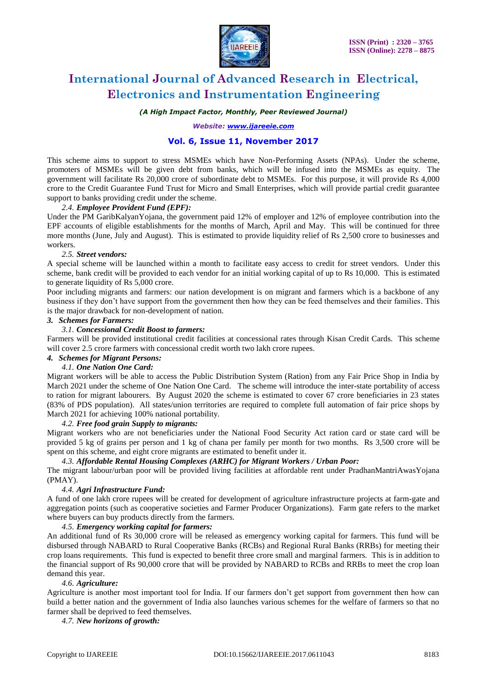

### *(A High Impact Factor, Monthly, Peer Reviewed Journal)*

*Website: [www.ijareeie.com](http://www.ijareeie.com/)*

### **Vol. 6, Issue 11, November 2017**

This scheme aims to support to stress MSMEs which have Non-Performing Assets (NPAs). Under the scheme, promoters of MSMEs will be given debt from banks, which will be infused into the MSMEs as equity. The government will facilitate Rs 20,000 crore of subordinate debt to MSMEs. For this purpose, it will provide Rs 4,000 crore to the Credit Guarantee Fund Trust for Micro and Small Enterprises, which will provide partial credit guarantee support to banks providing credit under the scheme.

### *2.4. Employee Provident Fund (EPF):*

Under the PM GaribKalyanYojana, the government paid 12% of employer and 12% of employee contribution into the EPF accounts of eligible establishments for the months of March, April and May. This will be continued for three more months (June, July and August). This is estimated to provide liquidity relief of Rs 2,500 crore to businesses and workers.

### *2.5. Street vendors:*

A special scheme will be launched within a month to facilitate easy access to credit for street vendors. Under this scheme, bank credit will be provided to each vendor for an initial working capital of up to Rs 10,000. This is estimated to generate liquidity of Rs 5,000 crore.

Poor including migrants and farmers: our nation development is on migrant and farmers which is a backbone of any business if they don't have support from the government then how they can be feed themselves and their families. This is the major drawback for non-development of nation.

### *3. Schemes for Farmers:*

### *3.1. Concessional Credit Boost to farmers:*

Farmers will be provided institutional credit facilities at concessional rates through Kisan Credit Cards. This scheme will cover 2.5 crore farmers with concessional credit worth two lakh crore rupees.

### *4. Schemes for Migrant Persons:*

### *4.1. One Nation One Card:*

Migrant workers will be able to access the Public Distribution System (Ration) from any Fair Price Shop in India by March 2021 under the scheme of One Nation One Card. The scheme will introduce the inter-state portability of access to ration for migrant labourers. By August 2020 the scheme is estimated to cover 67 crore beneficiaries in 23 states (83% of PDS population). All states/union territories are required to complete full automation of fair price shops by March 2021 for achieving 100% national portability.

### *4.2. Free food grain Supply to migrants:*

Migrant workers who are not beneficiaries under the National Food Security Act ration card or state card will be provided 5 kg of grains per person and 1 kg of chana per family per month for two months. Rs 3,500 crore will be spent on this scheme, and eight crore migrants are estimated to benefit under it.

### *4.3. Affordable Rental Housing Complexes (ARHC) for Migrant Workers / Urban Poor:*

The migrant labour/urban poor will be provided living facilities at affordable rent under PradhanMantriAwasYojana (PMAY).

### *4.4. Agri Infrastructure Fund:*

A fund of one lakh crore rupees will be created for development of agriculture infrastructure projects at farm-gate and aggregation points (such as cooperative societies and Farmer Producer Organizations). Farm gate refers to the market where buyers can buy products directly from the farmers.

### *4.5. Emergency working capital for farmers:*

An additional fund of Rs 30,000 crore will be released as emergency working capital for farmers. This fund will be disbursed through NABARD to Rural Cooperative Banks (RCBs) and Regional Rural Banks (RRBs) for meeting their crop loans requirements. This fund is expected to benefit three crore small and marginal farmers. This is in addition to the financial support of Rs 90,000 crore that will be provided by NABARD to RCBs and RRBs to meet the crop loan demand this year.

#### *4.6. Agriculture:*

Agriculture is another most important tool for India. If our farmers don't get support from government then how can build a better nation and the government of India also launches various schemes for the welfare of farmers so that no farmer shall be deprived to feed themselves.

### *4.7. New horizons of growth:*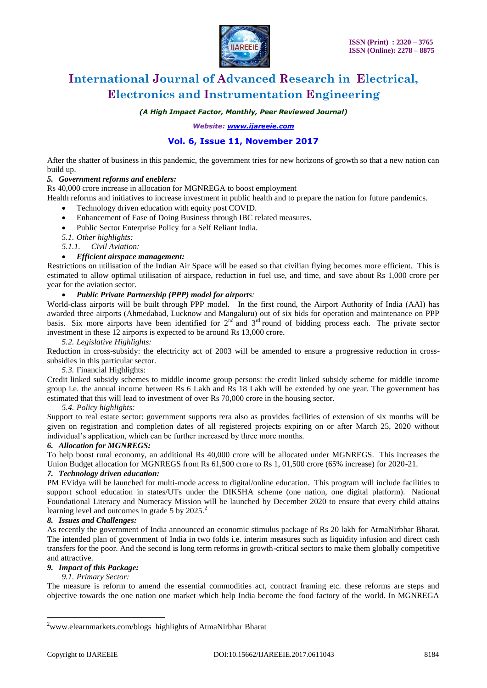

*(A High Impact Factor, Monthly, Peer Reviewed Journal)*

*Website: [www.ijareeie.com](http://www.ijareeie.com/)*

### **Vol. 6, Issue 11, November 2017**

After the shatter of business in this pandemic, the government tries for new horizons of growth so that a new nation can build up.

### *5. Government reforms and eneblers:*

Rs 40,000 crore increase in allocation for MGNREGA to boost employment

- Health reforms and initiatives to increase investment in public health and to prepare the nation for future pandemics.
	- Technology driven education with equity post COVID.
	- Enhancement of Ease of Doing Business through IBC related measures.
	- Public Sector Enterprise Policy for a Self Reliant India.
	- *5.1. Other highlights:*
	- *5.1.1. Civil Aviation:*

### *Efficient airspace management:*

Restrictions on utilisation of the Indian Air Space will be eased so that civilian flying becomes more efficient. This is estimated to allow optimal utilisation of airspace, reduction in fuel use, and time, and save about Rs 1,000 crore per year for the aviation sector.

### *Public Private Partnership (PPP) model for airports:*

World-class airports will be built through PPP model. In the first round, the Airport Authority of India (AAI) has awarded three airports (Ahmedabad, Lucknow and Mangaluru) out of six bids for operation and maintenance on PPP basis. Six more airports have been identified for  $2<sup>nd</sup>$  and  $3<sup>rd</sup>$  round of bidding process each. The private sector investment in these 12 airports is expected to be around Rs 13,000 crore.

### *5.2. Legislative Highlights:*

Reduction in cross-subsidy: the electricity act of 2003 will be amended to ensure a progressive reduction in crosssubsidies in this particular sector.

### *5.3.* Financial Highlights:

Credit linked subsidy schemes to middle income group persons: the credit linked subsidy scheme for middle income group i.e. the annual income between Rs 6 Lakh and Rs 18 Lakh will be extended by one year. The government has estimated that this will lead to investment of over Rs 70,000 crore in the housing sector.

### *5.4. Policy highlights:*

Support to real estate sector: government supports rera also as provides facilities of extension of six months will be given on registration and completion dates of all registered projects expiring on or after March 25, 2020 without individual's application, which can be further increased by three more months.

### *6. Allocation for MGNREGS:*

To help boost rural economy, an additional Rs 40,000 crore will be allocated under MGNREGS. This increases the Union Budget allocation for MGNREGS from Rs 61,500 crore to Rs 1, 01,500 crore (65% increase) for 2020-21.

### *7. Technology driven education:*

PM EVidya will be launched for multi-mode access to digital/online education. This program will include facilities to support school education in states/UTs under the DIKSHA scheme (one nation, one digital platform). National Foundational Literacy and Numeracy Mission will be launched by December 2020 to ensure that every child attains learning level and outcomes in grade 5 by  $2025.<sup>2</sup>$ 

### *8. Issues and Challenges:*

As recently the government of India announced an economic stimulus package of Rs 20 lakh for AtmaNirbhar Bharat. The intended plan of government of India in two folds i.e. interim measures such as liquidity infusion and direct cash transfers for the poor. And the second is long term reforms in growth-critical sectors to make them globally competitive and attractive.

### *9. Impact of this Package:*

### *9.1. Primary Sector:*

The measure is reform to amend the essential commodities act, contract framing etc. these reforms are steps and objective towards the one nation one market which help India become the food factory of the world. In MGNREGA

 $\overline{a}$ 

<sup>&</sup>lt;sup>2</sup>www.elearnmarkets.com/blogs highlights of AtmaNirbhar Bharat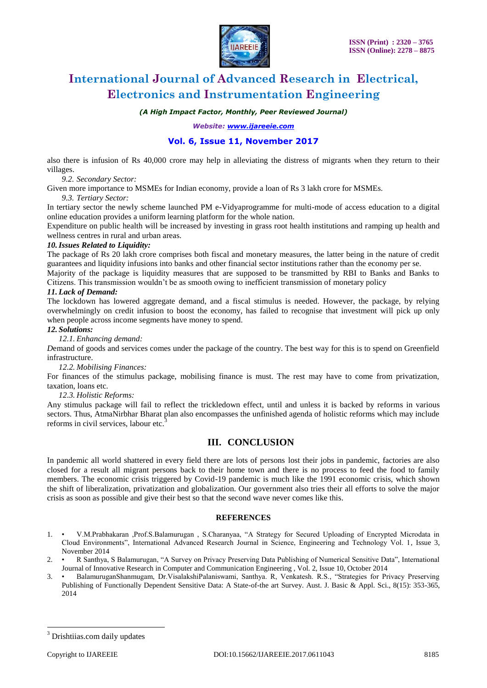

*(A High Impact Factor, Monthly, Peer Reviewed Journal)*

*Website: [www.ijareeie.com](http://www.ijareeie.com/)*

### **Vol. 6, Issue 11, November 2017**

also there is infusion of Rs 40,000 crore may help in alleviating the distress of migrants when they return to their villages.

*9.2. Secondary Sector:*

Given more importance to MSMEs for Indian economy, provide a loan of Rs 3 lakh crore for MSMEs.

*9.3. Tertiary Sector:*

In tertiary sector the newly scheme launched PM e-Vidyaprogramme for multi-mode of access education to a digital online education provides a uniform learning platform for the whole nation.

Expenditure on public health will be increased by investing in grass root health institutions and ramping up health and wellness centres in rural and urban areas.

### *10.Issues Related to Liquidity:*

The package of Rs 20 lakh crore comprises both fiscal and monetary measures, the latter being in the nature of credit guarantees and liquidity infusions into banks and other financial sector institutions rather than the economy per se.

Majority of the package is liquidity measures that are supposed to be transmitted by RBI to Banks and Banks to Citizens. This transmission wouldn't be as smooth owing to inefficient transmission of monetary policy

### *11. Lack of Demand:*

The lockdown has lowered aggregate demand, and a fiscal stimulus is needed. However, the package, by relying overwhelmingly on credit infusion to boost the economy, has failed to recognise that investment will pick up only when people across income segments have money to spend.

*12. Solutions:*

*12.1. Enhancing demand:* 

*D*emand of goods and services comes under the package of the country. The best way for this is to spend on Greenfield infrastructure.

#### *12.2. Mobilising Finances:*

For finances of the stimulus package, mobilising finance is must. The rest may have to come from privatization, taxation, loans etc.

### *12.3. Holistic Reforms:*

Any stimulus package will fail to reflect the trickledown effect, until and unless it is backed by reforms in various sectors. Thus, AtmaNirbhar Bharat plan also encompasses the unfinished agenda of holistic reforms which may include reforms in civil services, labour etc.<sup>3</sup>

### **III. CONCLUSION**

In pandemic all world shattered in every field there are lots of persons lost their jobs in pandemic, factories are also closed for a result all migrant persons back to their home town and there is no process to feed the food to family members. The economic crisis triggered by Covid-19 pandemic is much like the 1991 economic crisis, which shown the shift of liberalization, privatization and globalization. Our government also tries their all efforts to solve the major crisis as soon as possible and give their best so that the second wave never comes like this.

### **REFERENCES**

- 1. V.M.Prabhakaran ,Prof.S.Balamurugan , S.Charanyaa, "A Strategy for Secured Uploading of Encrypted Microdata in Cloud Environments", International Advanced Research Journal in Science, Engineering and Technology Vol. 1, Issue 3, November 2014
- 2. R Santhya, S Balamurugan, "A Survey on Privacy Preserving Data Publishing of Numerical Sensitive Data", International Journal of Innovative Research in Computer and Communication Engineering , Vol. 2, Issue 10, October 2014
- 3. BalamuruganShanmugam, Dr.VisalakshiPalaniswami, Santhya. R, Venkatesh. R.S., "Strategies for Privacy Preserving Publishing of Functionally Dependent Sensitive Data: A State-of-the art Survey. Aust. J. Basic & Appl. Sci., 8(15): 353-365, 2014

 $\overline{a}$ 

<sup>&</sup>lt;sup>3</sup> Drishtiias.com daily updates